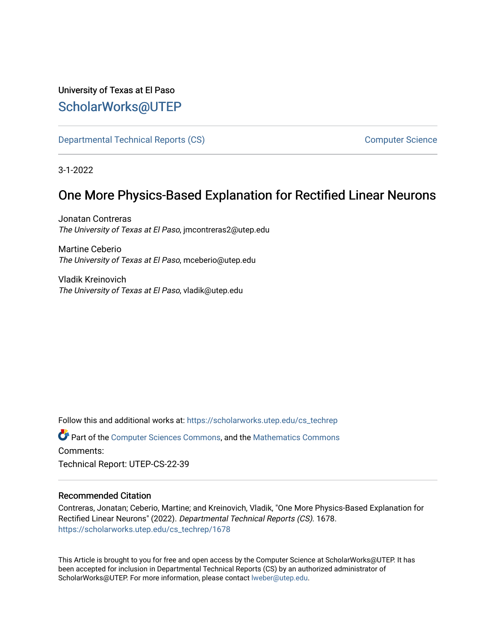## University of Texas at El Paso [ScholarWorks@UTEP](https://scholarworks.utep.edu/)

[Departmental Technical Reports \(CS\)](https://scholarworks.utep.edu/cs_techrep) [Computer Science](https://scholarworks.utep.edu/computer) 

3-1-2022

# One More Physics-Based Explanation for Rectified Linear Neurons

Jonatan Contreras The University of Texas at El Paso, jmcontreras2@utep.edu

Martine Ceberio The University of Texas at El Paso, mceberio@utep.edu

Vladik Kreinovich The University of Texas at El Paso, vladik@utep.edu

Follow this and additional works at: [https://scholarworks.utep.edu/cs\\_techrep](https://scholarworks.utep.edu/cs_techrep?utm_source=scholarworks.utep.edu%2Fcs_techrep%2F1678&utm_medium=PDF&utm_campaign=PDFCoverPages) 

Part of the [Computer Sciences Commons](http://network.bepress.com/hgg/discipline/142?utm_source=scholarworks.utep.edu%2Fcs_techrep%2F1678&utm_medium=PDF&utm_campaign=PDFCoverPages), and the [Mathematics Commons](http://network.bepress.com/hgg/discipline/174?utm_source=scholarworks.utep.edu%2Fcs_techrep%2F1678&utm_medium=PDF&utm_campaign=PDFCoverPages)  Comments:

Technical Report: UTEP-CS-22-39

## Recommended Citation

Contreras, Jonatan; Ceberio, Martine; and Kreinovich, Vladik, "One More Physics-Based Explanation for Rectified Linear Neurons" (2022). Departmental Technical Reports (CS). 1678. [https://scholarworks.utep.edu/cs\\_techrep/1678](https://scholarworks.utep.edu/cs_techrep/1678?utm_source=scholarworks.utep.edu%2Fcs_techrep%2F1678&utm_medium=PDF&utm_campaign=PDFCoverPages) 

This Article is brought to you for free and open access by the Computer Science at ScholarWorks@UTEP. It has been accepted for inclusion in Departmental Technical Reports (CS) by an authorized administrator of ScholarWorks@UTEP. For more information, please contact [lweber@utep.edu](mailto:lweber@utep.edu).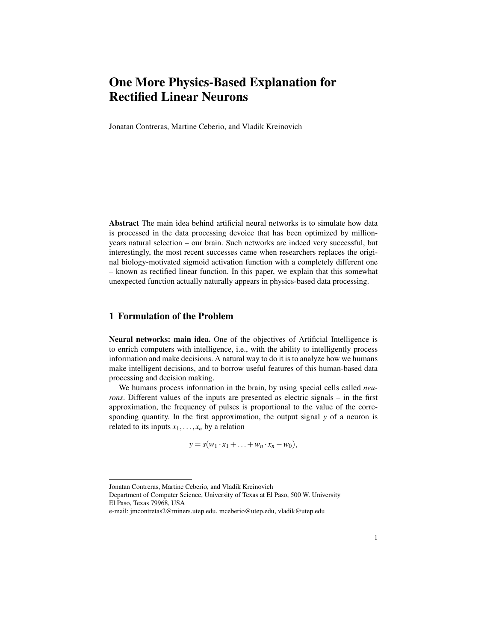## One More Physics-Based Explanation for Rectified Linear Neurons

Jonatan Contreras, Martine Ceberio, and Vladik Kreinovich

Abstract The main idea behind artificial neural networks is to simulate how data is processed in the data processing devoice that has been optimized by millionyears natural selection – our brain. Such networks are indeed very successful, but interestingly, the most recent successes came when researchers replaces the original biology-motivated sigmoid activation function with a completely different one – known as rectified linear function. In this paper, we explain that this somewhat unexpected function actually naturally appears in physics-based data processing.

## 1 Formulation of the Problem

Neural networks: main idea. One of the objectives of Artificial Intelligence is to enrich computers with intelligence, i.e., with the ability to intelligently process information and make decisions. A natural way to do it is to analyze how we humans make intelligent decisions, and to borrow useful features of this human-based data processing and decision making.

We humans process information in the brain, by using special cells called *neurons*. Different values of the inputs are presented as electric signals – in the first approximation, the frequency of pulses is proportional to the value of the corresponding quantity. In the first approximation, the output signal *y* of a neuron is related to its inputs  $x_1, \ldots, x_n$  by a relation

 $y = s(w_1 \cdot x_1 + \ldots + w_n \cdot x_n - w_0),$ 

Jonatan Contreras, Martine Ceberio, and Vladik Kreinovich

Department of Computer Science, University of Texas at El Paso, 500 W. University El Paso, Texas 79968, USA

e-mail: jmcontretas2@miners.utep.edu, mceberio@utep.edu, vladik@utep.edu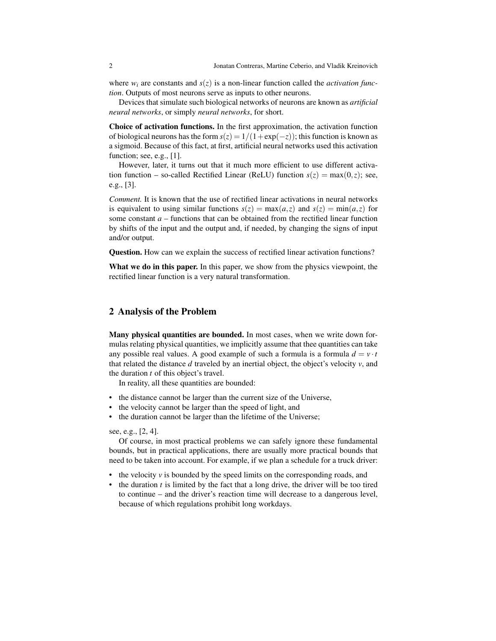where  $w_i$  are constants and  $s(z)$  is a non-linear function called the *activation function*. Outputs of most neurons serve as inputs to other neurons.

Devices that simulate such biological networks of neurons are known as *artificial neural networks*, or simply *neural networks*, for short.

Choice of activation functions. In the first approximation, the activation function of biological neurons has the form  $s(z) = 1/(1 + \exp(-z))$ ; this function is known as a sigmoid. Because of this fact, at first, artificial neural networks used this activation function; see, e.g., [1].

However, later, it turns out that it much more efficient to use different activation function – so-called Rectified Linear (ReLU) function  $s(z) = \max(0, z)$ ; see, e.g., [3].

*Comment.* It is known that the use of rectified linear activations in neural networks is equivalent to using similar functions  $s(z) = \max(a, z)$  and  $s(z) = \min(a, z)$  for some constant  $a$  – functions that can be obtained from the rectified linear function by shifts of the input and the output and, if needed, by changing the signs of input and/or output.

Question. How can we explain the success of rectified linear activation functions?

What we do in this paper. In this paper, we show from the physics viewpoint, the rectified linear function is a very natural transformation.

### 2 Analysis of the Problem

Many physical quantities are bounded. In most cases, when we write down formulas relating physical quantities, we implicitly assume that thee quantities can take any possible real values. A good example of such a formula is a formula  $d = v \cdot t$ that related the distance *d* traveled by an inertial object, the object's velocity *v*, and the duration *t* of this object's travel.

In reality, all these quantities are bounded:

- the distance cannot be larger than the current size of the Universe,
- the velocity cannot be larger than the speed of light, and
- the duration cannot be larger than the lifetime of the Universe;

see, e.g., [2, 4].

Of course, in most practical problems we can safely ignore these fundamental bounds, but in practical applications, there are usually more practical bounds that need to be taken into account. For example, if we plan a schedule for a truck driver:

- the velocity *v* is bounded by the speed limits on the corresponding roads, and
- the duration *t* is limited by the fact that a long drive, the driver will be too tired to continue – and the driver's reaction time will decrease to a dangerous level, because of which regulations prohibit long workdays.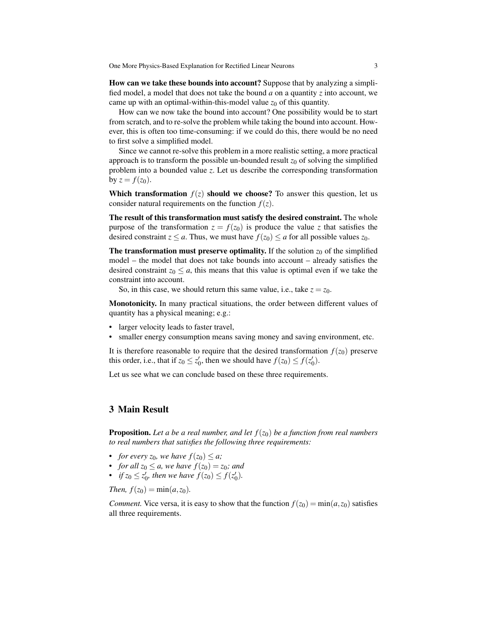One More Physics-Based Explanation for Rectified Linear Neurons 3

How can we take these bounds into account? Suppose that by analyzing a simplified model, a model that does not take the bound  $a$  on a quantity  $\zeta$  into account, we came up with an optimal-within-this-model value  $z_0$  of this quantity.

How can we now take the bound into account? One possibility would be to start from scratch, and to re-solve the problem while taking the bound into account. However, this is often too time-consuming: if we could do this, there would be no need to first solve a simplified model.

Since we cannot re-solve this problem in a more realistic setting, a more practical approach is to transform the possible un-bounded result  $z_0$  of solving the simplified problem into a bounded value *z*. Let us describe the corresponding transformation by  $z = f(z_0)$ .

**Which transformation**  $f(z)$  should we choose? To answer this question, let us consider natural requirements on the function  $f(z)$ .

The result of this transformation must satisfy the desired constraint. The whole purpose of the transformation  $z = f(z_0)$  is produce the value *z* that satisfies the desired constraint  $z \le a$ . Thus, we must have  $f(z_0) \le a$  for all possible values  $z_0$ .

The transformation must preserve optimality. If the solution  $z_0$  of the simplified model – the model that does not take bounds into account – already satisfies the desired constraint  $z_0 \leq a$ , this means that this value is optimal even if we take the constraint into account.

So, in this case, we should return this same value, i.e., take  $z = z_0$ .

Monotonicity. In many practical situations, the order between different values of quantity has a physical meaning; e.g.:

- larger velocity leads to faster travel,
- smaller energy consumption means saving money and saving environment, etc.

It is therefore reasonable to require that the desired transformation  $f(z_0)$  preserve this order, i.e., that if  $z_0 \leq z'_0$ , then we should have  $f(z_0) \leq f(z'_0)$ .

Let us see what we can conclude based on these three requirements.

### 3 Main Result

**Proposition.** Let a be a real number, and let  $f(z_0)$  be a function from real numbers *to real numbers that satisfies the following three requirements:*

- *for every*  $z_0$ *, we have*  $f(z_0) \leq a$ *;*
- *for all*  $z_0 \leq a$ *, we have*  $f(z_0) = z_0$ *; and*
- *if*  $z_0 \leq z'_0$ *, then we have*  $f(z_0) \leq f(z'_0)$ *.*

*Then,*  $f(z_0) = \min(a, z_0)$ .

*Comment.* Vice versa, it is easy to show that the function  $f(z_0) = min(a, z_0)$  satisfies all three requirements.